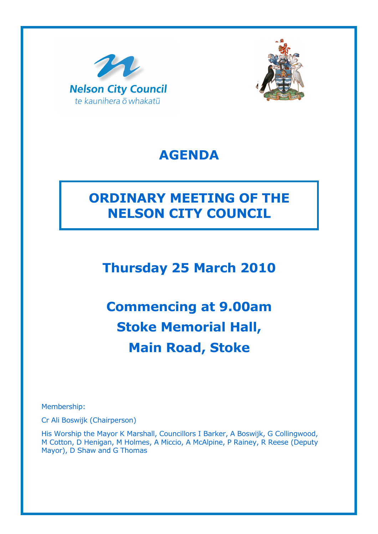



# AGENDA

# ORDINARY MEETING OF THE NELSON CITY COUNCIL

Thursday 25 March 2010

Commencing at 9.00am Stoke Memorial Hall, Main Road, Stoke

Membership:

Cr Ali Boswijk (Chairperson)

His Worship the Mayor K Marshall, Councillors I Barker, A Boswijk, G Collingwood, M Cotton, D Henigan, M Holmes, A Miccio, A McAlpine, P Rainey, R Reese (Deputy Mayor), D Shaw and G Thomas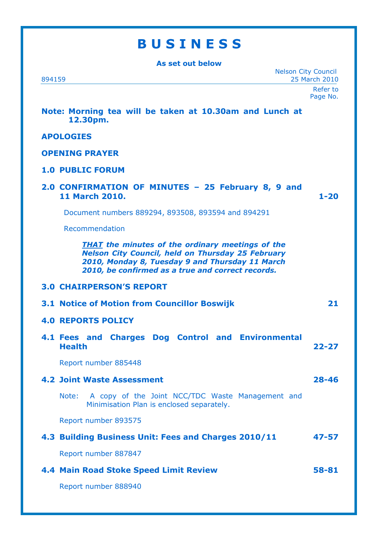## **BUSINESS**

As set out below Nelson City Council 894159 25 March 2010 Refer to Page No. Note: Morning tea will be taken at 10.30am and Lunch at 12.30pm. APOLOGIES OPENING PRAYER 1.0 PUBLIC FORUM 2.0 CONFIRMATION OF MINUTES – 25 February 8, 9 and 11 March 2010. 1-20 Document numbers 889294, 893508, 893594 and 894291 Recommendation **THAT** the minutes of the ordinary meetings of the Nelson City Council, held on Thursday 25 February 2010, Monday 8, Tuesday 9 and Thursday 11 March 2010, be confirmed as a true and correct records. 3.0 CHAIRPERSON'S REPORT 3.1 Notice of Motion from Councillor Boswijk 21 4.0 REPORTS POLICY 4.1 Fees and Charges Dog Control and Environmental Health 22-27 Report number 885448 4.2 Joint Waste Assessment 28-46 Note: A copy of the Joint NCC/TDC Waste Management and Minimisation Plan is enclosed separately. Report number 893575 4.3 Building Business Unit: Fees and Charges 2010/11 47-57 Report number 887847 4.4 Main Road Stoke Speed Limit Review 58-81

Report number 888940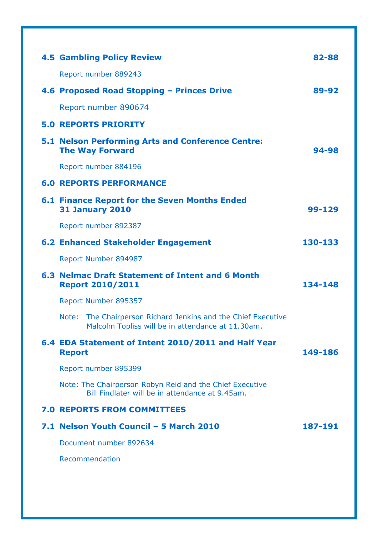| <b>4.5 Gambling Policy Review</b>                                                                                     | 82-88   |
|-----------------------------------------------------------------------------------------------------------------------|---------|
| Report number 889243                                                                                                  |         |
| 4.6 Proposed Road Stopping - Princes Drive                                                                            | 89-92   |
| Report number 890674                                                                                                  |         |
| <b>5.0 REPORTS PRIORITY</b>                                                                                           |         |
| <b>5.1 Nelson Performing Arts and Conference Centre:</b><br><b>The Way Forward</b>                                    | 94-98   |
| Report number 884196                                                                                                  |         |
| <b>6.0 REPORTS PERFORMANCE</b>                                                                                        |         |
| <b>6.1 Finance Report for the Seven Months Ended</b><br><b>31 January 2010</b>                                        | 99-129  |
| Report number 892387                                                                                                  |         |
| <b>6.2 Enhanced Stakeholder Engagement</b>                                                                            | 130-133 |
| Report Number 894987                                                                                                  |         |
| 6.3 Nelmac Draft Statement of Intent and 6 Month<br><b>Report 2010/2011</b>                                           | 134-148 |
| Report Number 895357                                                                                                  |         |
| The Chairperson Richard Jenkins and the Chief Executive<br>Note:<br>Malcolm Topliss will be in attendance at 11.30am. |         |
| 6.4 EDA Statement of Intent 2010/2011 and Half Year<br><b>Report</b>                                                  | 149-186 |
| Report number 895399                                                                                                  |         |
| Note: The Chairperson Robyn Reid and the Chief Executive<br>Bill Findlater will be in attendance at 9.45am.           |         |
| <b>7.0 REPORTS FROM COMMITTEES</b>                                                                                    |         |
| 7.1 Nelson Youth Council - 5 March 2010                                                                               | 187-191 |
| Document number 892634                                                                                                |         |
| Recommendation                                                                                                        |         |
|                                                                                                                       |         |